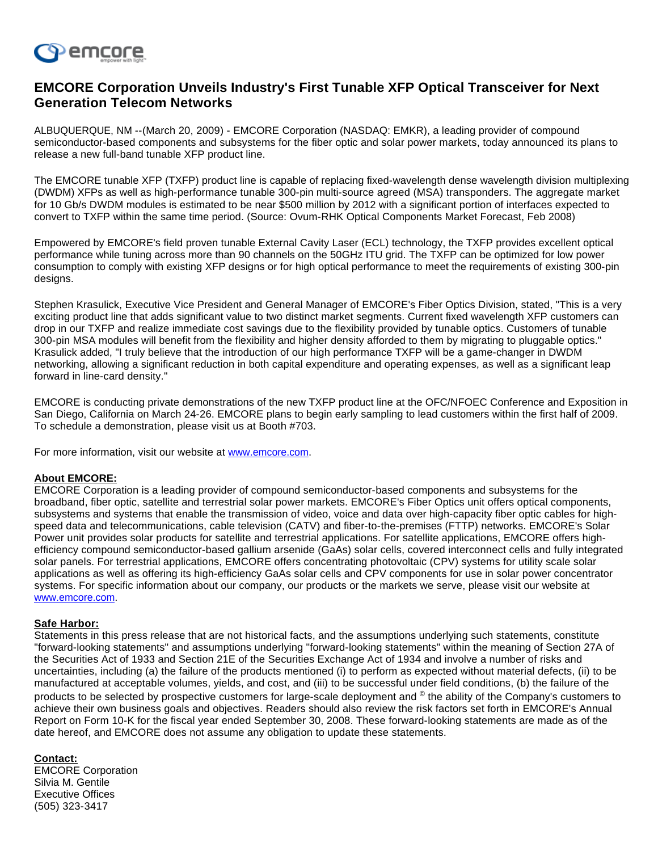

## **EMCORE Corporation Unveils Industry's First Tunable XFP Optical Transceiver for Next Generation Telecom Networks**

ALBUQUERQUE, NM --(March 20, 2009) - EMCORE Corporation (NASDAQ: EMKR), a leading provider of compound semiconductor-based components and subsystems for the fiber optic and solar power markets, today announced its plans to release a new full-band tunable XFP product line.

The EMCORE tunable XFP (TXFP) product line is capable of replacing fixed-wavelength dense wavelength division multiplexing (DWDM) XFPs as well as high-performance tunable 300-pin multi-source agreed (MSA) transponders. The aggregate market for 10 Gb/s DWDM modules is estimated to be near \$500 million by 2012 with a significant portion of interfaces expected to convert to TXFP within the same time period. (Source: Ovum-RHK Optical Components Market Forecast, Feb 2008)

Empowered by EMCORE's field proven tunable External Cavity Laser (ECL) technology, the TXFP provides excellent optical performance while tuning across more than 90 channels on the 50GHz ITU grid. The TXFP can be optimized for low power consumption to comply with existing XFP designs or for high optical performance to meet the requirements of existing 300-pin designs.

Stephen Krasulick, Executive Vice President and General Manager of EMCORE's Fiber Optics Division, stated, "This is a very exciting product line that adds significant value to two distinct market segments. Current fixed wavelength XFP customers can drop in our TXFP and realize immediate cost savings due to the flexibility provided by tunable optics. Customers of tunable 300-pin MSA modules will benefit from the flexibility and higher density afforded to them by migrating to pluggable optics." Krasulick added, "I truly believe that the introduction of our high performance TXFP will be a game-changer in DWDM networking, allowing a significant reduction in both capital expenditure and operating expenses, as well as a significant leap forward in line-card density."

EMCORE is conducting private demonstrations of the new TXFP product line at the OFC/NFOEC Conference and Exposition in San Diego, California on March 24-26. EMCORE plans to begin early sampling to lead customers within the first half of 2009. To schedule a demonstration, please visit us at Booth #703.

For more information, visit our website at [www.emcore.com](http://investor.shareholder.com/common/pdfnew/www.emcore.com).

## **About EMCORE:**

EMCORE Corporation is a leading provider of compound semiconductor-based components and subsystems for the broadband, fiber optic, satellite and terrestrial solar power markets. EMCORE's Fiber Optics unit offers optical components, subsystems and systems that enable the transmission of video, voice and data over high-capacity fiber optic cables for highspeed data and telecommunications, cable television (CATV) and fiber-to-the-premises (FTTP) networks. EMCORE's Solar Power unit provides solar products for satellite and terrestrial applications. For satellite applications, EMCORE offers highefficiency compound semiconductor-based gallium arsenide (GaAs) solar cells, covered interconnect cells and fully integrated solar panels. For terrestrial applications, EMCORE offers concentrating photovoltaic (CPV) systems for utility scale solar applications as well as offering its high-efficiency GaAs solar cells and CPV components for use in solar power concentrator systems. For specific information about our company, our products or the markets we serve, please visit our website at [www.emcore.com.](http://investor.shareholder.com/common/pdfnew/www.emcore.com)

## **Safe Harbor:**

Statements in this press release that are not historical facts, and the assumptions underlying such statements, constitute "forward-looking statements" and assumptions underlying "forward-looking statements" within the meaning of Section 27A of the Securities Act of 1933 and Section 21E of the Securities Exchange Act of 1934 and involve a number of risks and uncertainties, including (a) the failure of the products mentioned (i) to perform as expected without material defects, (ii) to be manufactured at acceptable volumes, yields, and cost, and (iii) to be successful under field conditions, (b) the failure of the products to be selected by prospective customers for large-scale deployment and © the ability of the Company's customers to achieve their own business goals and objectives. Readers should also review the risk factors set forth in EMCORE's Annual Report on Form 10-K for the fiscal year ended September 30, 2008. These forward-looking statements are made as of the date hereof, and EMCORE does not assume any obligation to update these statements.

## **Contact:**

EMCORE Corporation Silvia M. Gentile Executive Offices (505) 323-3417